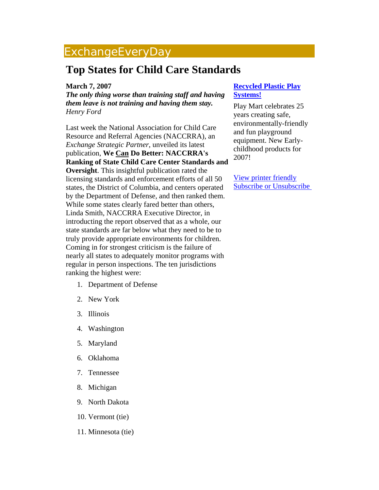## ExchangeEveryDay

## **Top States for Child Care Standards**

## **March 7, 2007**

*The only thing worse than training staff and having them leave is not training and having them stay. Henry Ford*

Last week the National Association for Child Care Resource and Referral Agencies (NACCRRA), an *Exchange Strategic Partner*, unveiled its latest publication, **We Can Do Better: NACCRRA's Ranking of State Child Care Center Standards and Oversight**. This insightful publication rated the licensing standards and enforcement efforts of all 50 states, the District of Columbia, and centers operated by the Department of Defense, and then ranked them. While some states clearly fared better than others, Linda Smith, NACCRRA Executive Director, in introducting the report observed that as a whole, our state standards are far below what they need to be to truly provide appropriate environments for children. Coming in for strongest criticism is the failure of nearly all states to adequately monitor programs with regular in person inspections. The ten jurisdictions ranking the highest were:

- 1. Department of Defense
- 2. New York
- 3. Illinois
- 4. Washington
- 5. Maryland
- 6. Oklahoma
- 7. Tennessee
- 8. Michigan
- 9. North Dakota
- 10. Vermont (tie)
- 11. Minnesota (tie)

## **[Recycled Plastic Play](http://mail.ccie.com/go/eed/1538) [Systems!](http://mail.ccie.com/go/eed/1538)**

Play Mart celebrates 25 years creating safe, environmentally-friendly and fun playground equipment. New Earlychildhood products for 2007!

[View printer friendly](http://www.childcareexchange.com/eed/news_print.php?news_id=1673) [Subscribe or Unsubscribe](http://www.childcareexchange.com/eed/subscribe/)